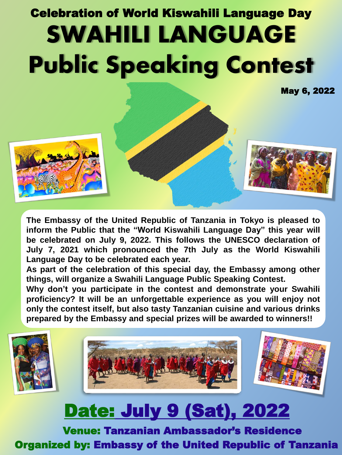# Celebration of World Kiswahili Language Day SWAHILI LANGUAGE Public Speaking Contest

May 6, 2022



**The Embassy of the United Republic of Tanzania in Tokyo is pleased to inform the Public that the "World Kiswahili Language Day" this year will be celebrated on July 9, 2022. This follows the UNESCO declaration of July 7, 2021 which pronounced the 7th July as the World Kiswahili Language Day to be celebrated each year.**

**As part of the celebration of this special day, the Embassy among other things, will organize a Swahili Language Public Speaking Contest.**

**Why don't you participate in the contest and demonstrate your Swahili proficiency? It will be an unforgettable experience as you will enjoy not only the contest itself, but also tasty Tanzanian cuisine and various drinks prepared by the Embassy and special prizes will be awarded to winners!!**



## Date: July 9 (Sat), 2022

Venue: Tanzanian Ambassador's Residence Organized by: Embassy of the United Republic of Tanzania